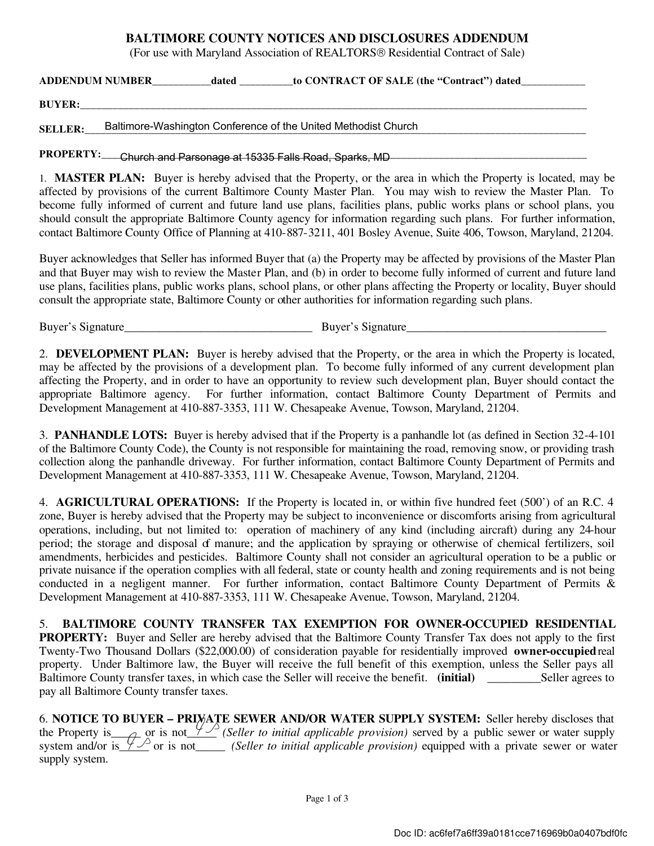#### BALTIMORE COUNTY NOTICES AND DISCLOSURES ADDENDUM

(For use with Maryland Association of REALTORS<sup>®</sup> Residential Contract of Sale)

ADDENDUM NUMBER dated to CONTRACT OF SALE (the "Contract") dated

BUYER:\_\_\_\_\_\_\_\_\_\_\_\_\_\_\_\_\_\_\_\_\_\_\_\_\_\_\_\_\_\_\_\_\_\_\_\_\_\_\_\_\_\_\_\_\_\_\_\_\_\_\_\_\_\_\_\_\_\_\_\_\_\_\_\_\_\_\_\_\_\_\_\_\_\_\_\_\_\_\_\_\_\_\_\_\_\_\_\_\_\_\_\_\_\_\_

SELLER: Baltimore-Washington Conference of the United Methodist Church

#### PROPERTY:\_\_\_\_Church and Parsonage at 15335 Falls Road, Sparks, MD\_\_\_\_\_\_\_\_\_\_\_\_\_\_\_\_\_\_\_\_\_\_\_\_\_\_\_\_\_\_\_\_\_\_\_

1. MASTER PLAN: Buyer is hereby advised that the Property, or the area in which the Property is located, may be affected by provisions of the current Baltimore County Master Plan. You may wish to review the Master Plan. To become fully informed of current and future land use plans, facilities plans, public works plans or school plans, you should consult the appropriate Baltimore County agency for information regarding such plans. For further information, contact Baltimore County Office of Planning at 410-887-3211, 401 Bosley Avenue, Suite 406, Towson, Maryland, 21204.

Buyer acknowledges that Seller has informed Buyer that (a) the Property may be affected by provisions of the Master Plan and that Buyer may wish to review the Master Plan, and (b) in order to become fully informed of current and future land use plans, facilities plans, public works plans, school plans, or other plans affecting the Property or locality, Buyer should consult the appropriate state, Baltimore County or other authorities for information regarding such plans.

Buyer's Signature\_\_\_\_\_\_\_\_\_\_\_\_\_\_\_\_\_\_\_\_\_\_\_\_\_\_\_\_\_\_\_\_ Buyer's Signature\_\_\_\_\_\_\_\_\_\_\_\_\_\_\_\_\_\_\_\_\_\_\_\_\_\_\_\_\_\_\_\_\_\_

2. DEVELOPMENT PLAN: Buyer is hereby advised that the Property, or the area in which the Property is located, may be affected by the provisions of a development plan. To become fully informed of any current development plan affecting the Property, and in order to have an opportunity to review such development plan, Buyer should contact the appropriate Baltimore agency. For further information, contact Baltimore County Department of Permits and Development Management at 410-887-3353, 111 W. Chesapeake Avenue, Towson, Maryland, 21204.

3. PANHANDLE LOTS: Buyer is hereby advised that if the Property is a panhandle lot (as defined in Section 32-4-101 of the Baltimore County Code), the County is not responsible for maintaining the road, removing snow, or providing trash collection along the panhandle driveway. For further information, contact Baltimore County Department of Permits and Development Management at 410-887-3353, 111 W. Chesapeake Avenue, Towson, Maryland, 21204.

4. AGRICULTURAL OPERATIONS: If the Property is located in, or within five hundred feet (500') of an R.C. 4 zone, Buyer is hereby advised that the Property may be subject to inconvenience or discomforts arising from agricultural operations, including, but not limited to: operation of machinery of any kind (including aircraft) during any 24-hour period; the storage and disposal of manure; and the application by spraying or otherwise of chemical fertilizers, soil amendments, herbicides and pesticides. Baltimore County shall not consider an agricultural operation to be a public or private nuisance if the operation complies with all federal, state or county health and zoning requirements and is not being conducted in a negligent manner. For further information, contact Baltimore County Department of Permits & Development Management at 410-887-3353, 111 W. Chesapeake Avenue, Towson, Maryland, 21204.

5. BALTIMORE COUNTY TRANSFER TAX EXEMPTION FOR OWNER-OCCUPIED RESIDENTIAL PROPERTY: Buyer and Seller are hereby advised that the Baltimore County Transfer Tax does not apply to the first Twenty-Two Thousand Dollars (\$22,000.00) of consideration payable for residentially improved owner-occupied real property. Under Baltimore law, the Buyer will receive the full benefit of this exemption, unless the Seller pays all Baltimore County transfer taxes, in which case the Seller will receive the benefit. (initial) \_\_\_\_\_\_\_\_\_\_Seller agrees to pay all Baltimore County transfer taxes.

6. NOTICE TO BUYER – PRIVATE SEWER AND/OR WATER SUPPLY SYSTEM: Seller hereby discloses that the Property is  $\Delta$  or is not  $\frac{y}{2}$  (Seller to initial applicable provision) served by a public sewer or water supply system and/or is  $\frac{y}{z}$  or is not *\_\_\_\_\_\_ (Seller to initial applicable provision)* equipped with a private sewer or water supply system.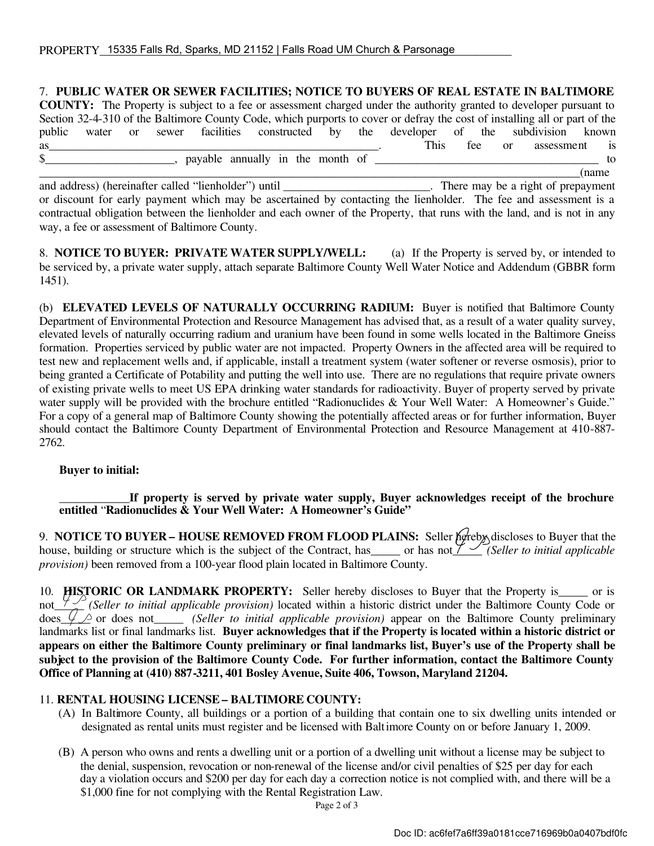|              |  |  | 7. PUBLIC WATER OR SEWER FACILITIES; NOTICE TO BUYERS OF REAL ESTATE IN BALTIMORE                                          |  |                           |  |       |
|--------------|--|--|----------------------------------------------------------------------------------------------------------------------------|--|---------------------------|--|-------|
|              |  |  | <b>COUNTY:</b> The Property is subject to a fee or assessment charged under the authority granted to developer pursuant to |  |                           |  |       |
|              |  |  | Section 32-4-310 of the Baltimore County Code, which purports to cover or defray the cost of installing all or part of the |  |                           |  |       |
|              |  |  | public water or sewer facilities constructed by the developer of the subdivision known                                     |  |                           |  |       |
| as           |  |  |                                                                                                                            |  | This fee or assessment is |  |       |
| $\mathbb{S}$ |  |  | payable annually in the month of                                                                                           |  |                           |  | to.   |
|              |  |  |                                                                                                                            |  |                           |  | (name |

and address) (hereinafter called "lienholder") until \_\_\_\_\_\_\_\_\_\_\_\_\_\_\_\_\_\_\_\_\_\_\_\_. There may be a right of prepayment or discount for early payment which may be ascertained by contacting the lienholder. The fee and assessment is a contractual obligation between the lienholder and each owner of the Property, that runs with the land, and is not in any way, a fee or assessment of Baltimore County.

8. **NOTICE TO BUYER: PRIVATE WATER SUPPLY/WELL:** (a) If the Property is served by, or intended to be serviced by, a private water supply, attach separate Baltimore County Well Water Notice and Addendum (GBBR form 1451).

(b) ELEVATED LEVELS OF NATURALLY OCCURRING RADIUM: Buyer is notified that Baltimore County Department of Environmental Protection and Resource Management has advised that, as a result of a water quality survey, elevated levels of naturally occurring radium and uranium have been found in some wells located in the Baltimore Gneiss formation. Properties serviced by public water are not impacted. Property Owners in the affected area will be required to test new and replacement wells and, if applicable, install a treatment system (water softener or reverse osmosis), prior to being granted a Certificate of Potability and putting the well into use. There are no regulations that require private owners of existing private wells to meet US EPA drinking water standards for radioactivity. Buyer of property served by private water supply will be provided with the brochure entitled "Radionuclides & Your Well Water: A Homeowner's Guide." For a copy of a general map of Baltimore County showing the potentially affected areas or for further information, Buyer should contact the Baltimore County Department of Environmental Protection and Resource Management at 410-887- 2762.

#### Buyer to initial:

If property is served by private water supply, Buyer acknowledges receipt of the brochure entitled "Radionuclides & Your Well Water: A Homeowner's Guide"

9. NOTICE TO BUYER – HOUSE REMOVED FROM FLOOD PLAINS: Seller hereby discloses to Buyer that the house, building or structure which is the subject of the Contract, has\_\_\_\_\_ or has not  $\frac{y}{z}$  *(Seller to initial applicable provision)* been removed from a 100-year flood plain located in Baltimore County.

10. **HISTORIC OR LANDMARK PROPERTY:** Seller hereby discloses to Buyer that the Property is\_\_\_\_\_ or is not\_\_\_\_\_ *(Seller to initial applicable provision)* located within a historic district under the Baltimore County Code or  $\frac{d}{d\cos \psi}$  or does not *\_\_\_\_\_\_ (Seller to initial applicable provision)* appear on the Baltimore County preliminary landmarks list or final landmarks list. Buyer acknowledges that if the Property is located within a historic district or appears on either the Baltimore County preliminary or final landmarks list, Buyer's use of the Property shall be subject to the provision of the Baltimore County Code. For further information, contact the Baltimore County Office of Planning at (410) 887-3211, 401 Bosley Avenue, Suite 406, Towson, Maryland 21204.

#### 11. RENTAL HOUSING LICENSE – BALTIMORE COUNTY:

- (A) In Baltimore County, all buildings or a portion of a building that contain one to six dwelling units intended or designated as rental units must register and be licensed with Baltimore County on or before January 1, 2009.
- (B) A person who owns and rents a dwelling unit or a portion of a dwelling unit without a license may be subject to the denial, suspension, revocation or non-renewal of the license and/or civil penalties of \$25 per day for each day a violation occurs and \$200 per day for each day a correction notice is not complied with, and there will be a \$1,000 fine for not complying with the Rental Registration Law.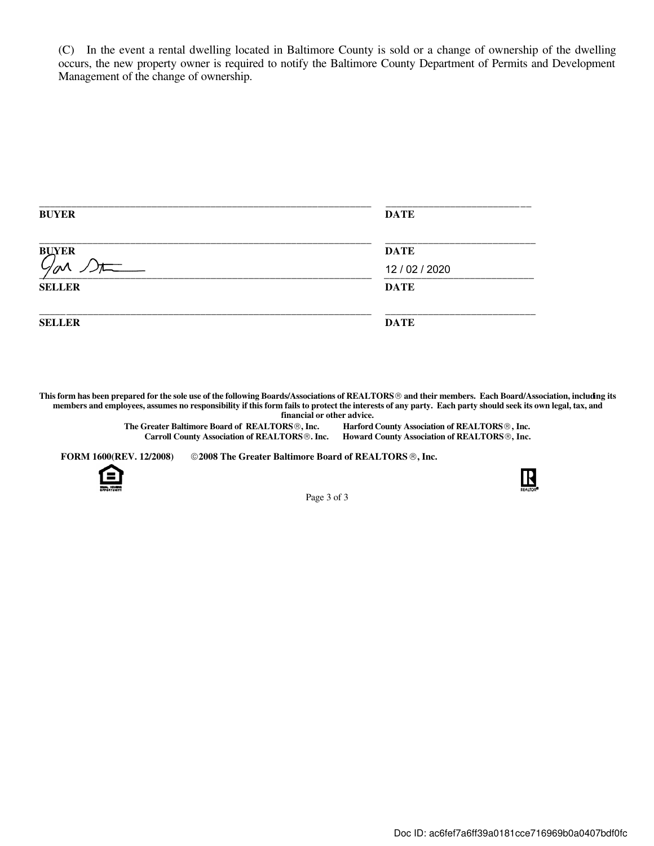(C) In the event a rental dwelling located in Baltimore County is sold or a change of ownership of the dwelling occurs, the new property owner is required to notify the Baltimore County Department of Permits and Development Management of the change of ownership.

| <b>BUYER</b>  | <b>DATE</b>    |  |  |
|---------------|----------------|--|--|
| <b>BUYER</b>  | <b>DATE</b>    |  |  |
| $\mathcal{N}$ | 12 / 02 / 2020 |  |  |
| <b>SELLER</b> | <b>DATE</b>    |  |  |
| <b>SELLER</b> | <b>DATE</b>    |  |  |

This form has been prepared for the sole use of the following Boards/Associations of REALTORS<sup>®</sup> and their members. Each Board/Association, including its members and employees, assumes no responsibility if this form fails to protect the interests of any party. Each party should seek its own legal, tax, and financial or other advice.

> The Greater Baltimore Board of REALTORS<sup>®</sup>, Inc. Harford County Association of REALTORS<sup>®</sup>, Inc. Carroll County Association of REALTORS<sup>®</sup>. Inc. Howard County Association of REALTORS<sup>®</sup>, Inc.

FORM 1600(REV. 12/2008) © 2008 The Greater Baltimore Board of REALTORS ®, Inc.





Page 3 of 3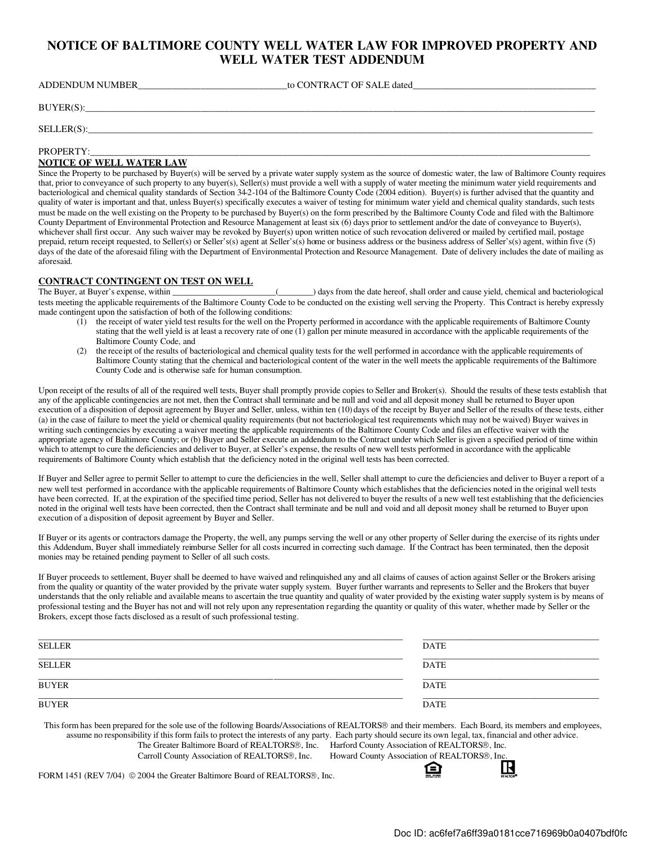#### NOTICE OF BALTIMORE COUNTY WELL WATER LAW FOR IMPROVED PROPERTY AND WELL WATER TEST ADDENDUM

| <b>ADDENDUM NUMBER</b> | to CONTRACT OF SALE dated |  |
|------------------------|---------------------------|--|
| $BUYER(S)$ :           |                           |  |
| $SELECTR(S)$ :         |                           |  |

PROPERTY:\_\_\_\_\_\_\_\_\_\_\_\_\_\_\_\_\_\_\_\_\_\_\_\_\_\_\_\_\_\_\_\_\_\_\_\_\_\_\_\_\_\_\_\_\_\_\_\_\_\_\_\_\_\_\_\_\_\_\_\_\_\_\_\_\_\_\_\_\_\_\_\_\_\_\_\_\_\_\_\_\_\_\_\_\_\_\_\_\_\_\_\_\_\_\_\_\_\_\_\_\_\_\_\_

#### NOTICE OF WELL WATER LAW

Since the Property to be purchased by Buyer(s) will be served by a private water supply system as the source of domestic water, the law of Baltimore County requires that, prior to conveyance of such property to any buyer(s), Seller(s) must provide a well with a supply of water meeting the minimum water yield requirements and bacteriological and chemical quality standards of Section 34-2-104 of the Baltimore County Code (2004 edition). Buyer(s) is further advised that the quantity and quality of water is important and that, unless Buyer(s) specifically executes a waiver of testing for minimum water yield and chemical quality standards, such tests must be made on the well existing on the Property to be purchased by Buyer(s) on the form prescribed by the Baltimore County Code and filed with the Baltimore County Department of Environmental Protection and Resource Management at least six (6) days prior to settlement and/or the date of conveyance to Buyer(s), whichever shall first occur. Any such waiver may be revoked by Buyer(s) upon written notice of such revocation delivered or mailed by certified mail, postage prepaid, return receipt requested, to Seller(s) or Seller's(s) agent at Seller's(s) home or business address or the business address of Seller's(s) agent, within five (5) days of the date of the aforesaid filing with the Department of Environmental Protection and Resource Management. Date of delivery includes the date of mailing as aforesaid.

### **CONTRACT CONTINGENT ON TEST ON WELL**<br>The Buyer, at Buyer's expense, within

( $\Box$ ) days from the date hereof, shall order and cause yield, chemical and bacteriological tests meeting the applicable requirements of the Baltimore County Code to be conducted on the existing well serving the Property. This Contract is hereby expressly made contingent upon the satisfaction of both of the following conditions:

- (1) the receipt of water yield test results for the well on the Property performed in accordance with the applicable requirements of Baltimore County stating that the well yield is at least a recovery rate of one  $(i)$  gallon per minute measured in accordance with the applicable requirements of the Baltimore County Code, and
- (2) the receipt of the results of bacteriological and chemical quality tests for the well performed in accordance with the applicable requirements of Baltimore County stating that the chemical and bacteriological content of the water in the well meets the applicable requirements of the Baltimore County Code and is otherwise safe for human consumption.

Upon receipt of the results of all of the required well tests, Buyer shall promptly provide copies to Seller and Broker(s). Should the results of these tests establish that any of the applicable contingencies are not met, then the Contract shall terminate and be null and void and all deposit money shall be returned to Buyer upon execution of a disposition of deposit agreement by Buyer and Seller, unless, within ten (10) days of the receipt by Buyer and Seller of the results of these tests, either (a) in the case of failure to meet the yield or chemical quality requirements (but not bacteriological test requirements which may not be waived) Buyer waives in writing such contingencies by executing a waiver meeting the applicable requirements of the Baltimore County Code and files an effective waiver with the appropriate agency of Baltimore County; or (b) Buyer and Seller execute an addendum to the Contract under which Seller is given a specified period of time within which to attempt to cure the deficiencies and deliver to Buyer, at Seller's expense, the results of new well tests performed in accordance with the applicable requirements of Baltimore County which establish that the deficiency noted in the original well tests has been corrected.

If Buyer and Seller agree to permit Seller to attempt to cure the deficiencies in the well, Seller shall attempt to cure the deficiencies and deliver to Buyer a report of a new well test performed in accordance with the applicable requirements of Baltimore County which establishes that the deficiencies noted in the original well tests have been corrected. If, at the expiration of the specified time period, Seller has not delivered to buyer the results of a new well test establishing that the deficiencies noted in the original well tests have been corrected, then the Contract shall terminate and be null and void and all deposit money shall be returned to Buyer upon execution of a disposition of deposit agreement by Buyer and Seller.

If Buyer or its agents or contractors damage the Property, the well, any pumps serving the well or any other property of Seller during the exercise of its rights under this Addendum, Buyer shall immediately reimburse Seller for all costs incurred in correcting such damage. If the Contract has been terminated, then the deposit monies may be retained pending payment to Seller of all such costs.

If Buyer proceeds to settlement, Buyer shall be deemed to have waived and relinquished any and all claims of causes of action against Seller or the Brokers arising from the quality or quantity of the water provided by the private water supply system. Buyer further warrants and represents to Seller and the Brokers that buyer understands that the only reliable and available means to ascertain the true quantity and quality of water provided by the existing water supply system is by means of professional testing and the Buyer has not and will not rely upon any representation regarding the quantity or quality of this water, whether made by Seller or the Brokers, except those facts disclosed as a result of such professional testing.

| SELLER       | DATE        |
|--------------|-------------|
| SELLER       | DATE        |
| <b>BUYER</b> | <b>DATE</b> |
| <b>BUYER</b> | <b>DATE</b> |

This form has been prepared for the sole use of the following Boards/Associations of REALTORS<sup>®</sup> and their members. Each Board, its members and employees, assume no responsibility if this form fails to protect the interests of any party. Each party should secure its own legal, tax, financial and other advice. The Greater Baltimore Board of REALTORS®, Inc. Harford County Association of REALTORS®, Inc. Carroll County Association of REALTORS®, Inc. Howard County Association of REALTORS®, Inc

FORM 1451 (REV 7/04)  $\odot$  2004 the Greater Baltimore Board of REALTORS<sup>®</sup>, Inc.

ি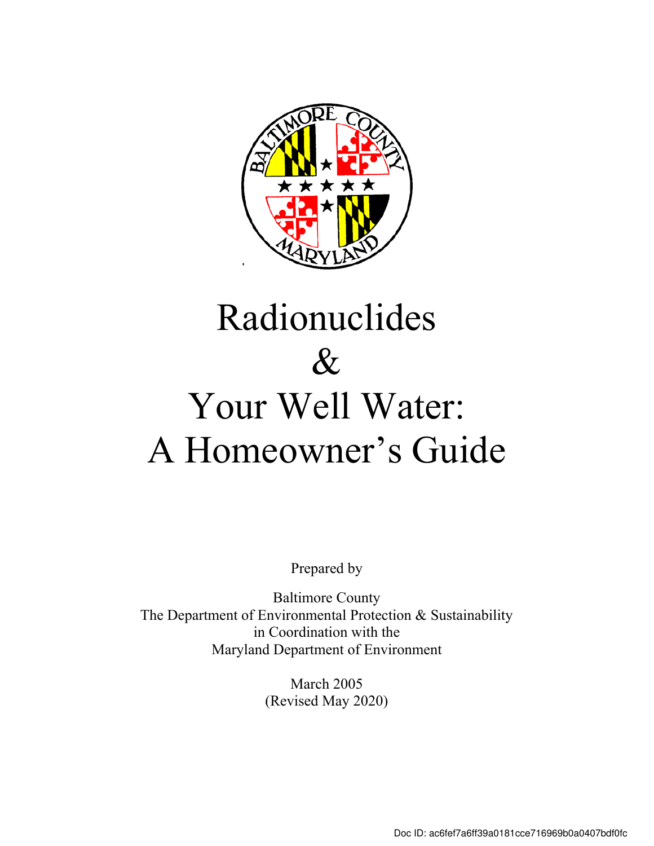

# Radionuclides  $\&$ Your Well Water: A Homeowner's Guide

Prepared by

Baltimore County The Department of Environmental Protection & Sustainability in Coordination with the Maryland Department of Environment

> March 2005 (Revised May 2020)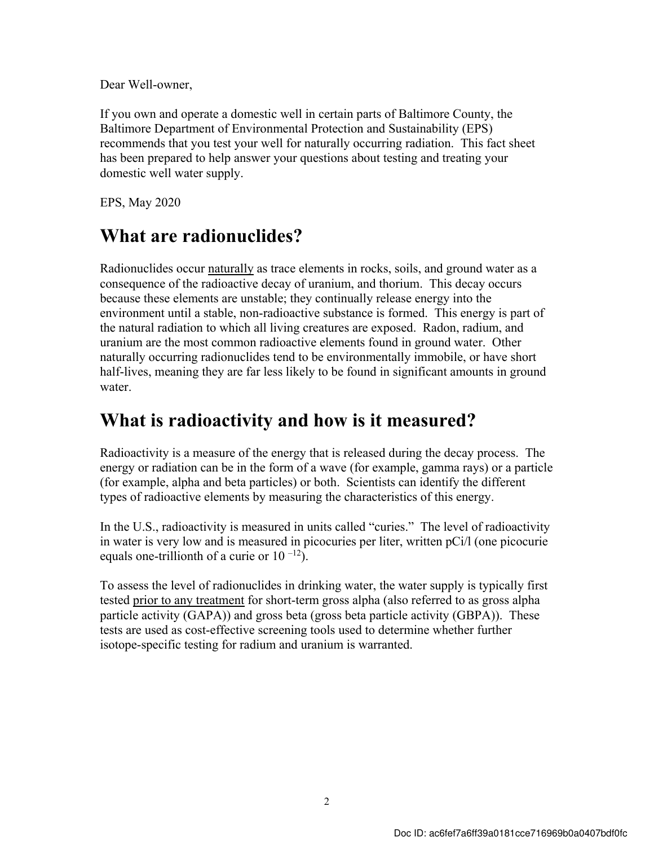Dear Well-owner,

If you own and operate a domestic well in certain parts of Baltimore County, the Baltimore Department of Environmental Protection and Sustainability (EPS) recommends that you test your well for naturally occurring radiation. This fact sheet has been prepared to help answer your questions about testing and treating your domestic well water supply.

EPS, May 2020

### **What are radionuclides?**

Radionuclides occur naturally as trace elements in rocks, soils, and ground water as a consequence of the radioactive decay of uranium, and thorium. This decay occurs because these elements are unstable; they continually release energy into the environment until a stable, non-radioactive substance is formed. This energy is part of the natural radiation to which all living creatures are exposed. Radon, radium, and uranium are the most common radioactive elements found in ground water. Other naturally occurring radionuclides tend to be environmentally immobile, or have short half-lives, meaning they are far less likely to be found in significant amounts in ground water

### **What is radioactivity and how is it measured?**

Radioactivity is a measure of the energy that is released during the decay process. The energy or radiation can be in the form of a wave (for example, gamma rays) or a particle (for example, alpha and beta particles) or both. Scientists can identify the different types of radioactive elements by measuring the characteristics of this energy.

In the U.S., radioactivity is measured in units called "curies." The level of radioactivity in water is very low and is measured in picocuries per liter, written pCi/l (one picocurie equals one-trillionth of a curie or  $10^{-12}$ ).

To assess the level of radionuclides in drinking water, the water supply is typically first tested prior to any treatment for short-term gross alpha (also referred to as gross alpha particle activity (GAPA)) and gross beta (gross beta particle activity (GBPA)). These tests are used as cost-effective screening tools used to determine whether further isotope-specific testing for radium and uranium is warranted.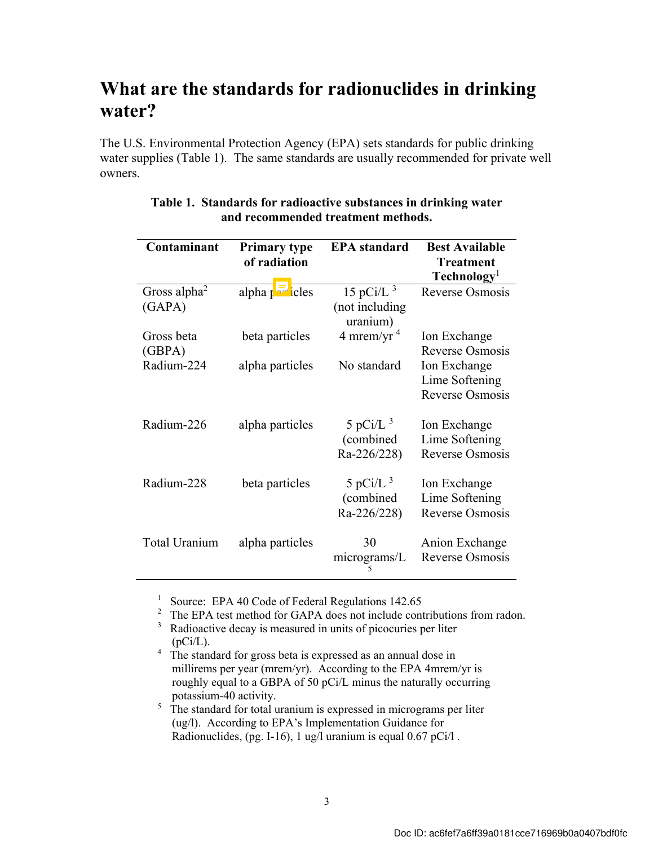### **What are the standards for radionuclides in drinking water?**

The U.S. Environmental Protection Agency (EPA) sets standards for public drinking water supplies (Table 1). The same standards are usually recommended for private well owners.

| Contaminant              | <b>Primary type</b>                                                                                                                                                                                                                                                                                                                                                                       | <b>EPA</b> standard | <b>Best Available</b>   |
|--------------------------|-------------------------------------------------------------------------------------------------------------------------------------------------------------------------------------------------------------------------------------------------------------------------------------------------------------------------------------------------------------------------------------------|---------------------|-------------------------|
|                          | of radiation                                                                                                                                                                                                                                                                                                                                                                              |                     | <b>Treatment</b>        |
|                          |                                                                                                                                                                                                                                                                                                                                                                                           |                     | Technology <sup>1</sup> |
| Gross alpha <sup>2</sup> | $alpha \overline{1}$ $\overline{1}$ $\overline{1}$ $\overline{1}$ $\overline{1}$ $\overline{1}$ $\overline{1}$ $\overline{1}$ $\overline{1}$ $\overline{1}$ $\overline{1}$ $\overline{1}$ $\overline{1}$ $\overline{1}$ $\overline{1}$ $\overline{1}$ $\overline{1}$ $\overline{1}$ $\overline{1}$ $\overline{1}$ $\overline{1}$ $\overline{1}$ $\overline{1}$ $\overline{1}$ $\overline$ | 15 pCi/L $^3$       | Reverse Osmosis         |
| (GAPA)                   |                                                                                                                                                                                                                                                                                                                                                                                           | (not including      |                         |
|                          |                                                                                                                                                                                                                                                                                                                                                                                           | uranium)            |                         |
| Gross beta               | beta particles                                                                                                                                                                                                                                                                                                                                                                            | 4 mrem/yr $4$       | Ion Exchange            |
| (GBPA)                   |                                                                                                                                                                                                                                                                                                                                                                                           |                     | Reverse Osmosis         |
| Radium-224               | alpha particles                                                                                                                                                                                                                                                                                                                                                                           | No standard         | Ion Exchange            |
|                          |                                                                                                                                                                                                                                                                                                                                                                                           |                     | Lime Softening          |
|                          |                                                                                                                                                                                                                                                                                                                                                                                           |                     | Reverse Osmosis         |
|                          |                                                                                                                                                                                                                                                                                                                                                                                           |                     |                         |
| Radium-226               | alpha particles                                                                                                                                                                                                                                                                                                                                                                           | 5 pCi/L $^3$        | Ion Exchange            |
|                          |                                                                                                                                                                                                                                                                                                                                                                                           | (combined           | Lime Softening          |
|                          |                                                                                                                                                                                                                                                                                                                                                                                           | Ra-226/228)         | Reverse Osmosis         |
|                          |                                                                                                                                                                                                                                                                                                                                                                                           |                     |                         |
| Radium-228               | beta particles                                                                                                                                                                                                                                                                                                                                                                            | 5 pCi/L $^3$        | Ion Exchange            |
|                          |                                                                                                                                                                                                                                                                                                                                                                                           | (combined           | Lime Softening          |
|                          |                                                                                                                                                                                                                                                                                                                                                                                           | Ra-226/228)         | Reverse Osmosis         |
|                          |                                                                                                                                                                                                                                                                                                                                                                                           |                     |                         |
| Total Uranium            | alpha particles                                                                                                                                                                                                                                                                                                                                                                           | 30                  | Anion Exchange          |
|                          |                                                                                                                                                                                                                                                                                                                                                                                           |                     |                         |
|                          |                                                                                                                                                                                                                                                                                                                                                                                           | micrograms/L        | <b>Reverse Osmosis</b>  |

#### **Table 1. Standards for radioactive substances in drinking water and recommended treatment methods.**

<sup>1</sup> Source: EPA 40 Code of Federal Regulations 142.65

<sup>2</sup> The EPA test method for GAPA does not include contributions from radon.<br><sup>3</sup> Padioactive decay is measured in units of picocuries per liter

<sup>3</sup> Radioactive decay is measured in units of picocuries per liter  $(pCi/L)$ .

<sup>4</sup> The standard for gross beta is expressed as an annual dose in millirems per year (mrem/yr). According to the EPA 4mrem/yr is roughly equal to a GBPA of 50 pCi/L minus the naturally occurring potassium-40 activity.

5 The standard for total uranium is expressed in micrograms per liter (ug/l). According to EPA's Implementation Guidance for Radionuclides,  $(pg. I-16)$ , 1 ug/l uranium is equal 0.67 pCi/l.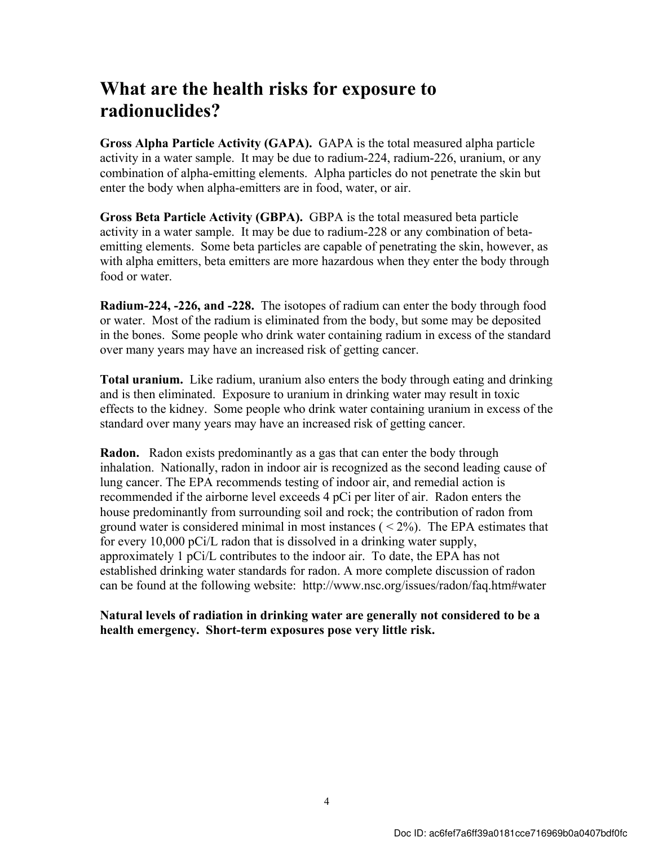### **What are the health risks for exposure to radionuclides?**

**Gross Alpha Particle Activity (GAPA).** GAPA is the total measured alpha particle activity in a water sample. It may be due to radium-224, radium-226, uranium, or any combination of alpha-emitting elements. Alpha particles do not penetrate the skin but enter the body when alpha-emitters are in food, water, or air.

**Gross Beta Particle Activity (GBPA).** GBPA is the total measured beta particle activity in a water sample. It may be due to radium-228 or any combination of betaemitting elements. Some beta particles are capable of penetrating the skin, however, as with alpha emitters, beta emitters are more hazardous when they enter the body through food or water.

**Radium-224, -226, and -228.** The isotopes of radium can enter the body through food or water. Most of the radium is eliminated from the body, but some may be deposited in the bones. Some people who drink water containing radium in excess of the standard over many years may have an increased risk of getting cancer.

**Total uranium.** Like radium, uranium also enters the body through eating and drinking and is then eliminated. Exposure to uranium in drinking water may result in toxic effects to the kidney. Some people who drink water containing uranium in excess of the standard over many years may have an increased risk of getting cancer.

**Radon.** Radon exists predominantly as a gas that can enter the body through inhalation. Nationally, radon in indoor air is recognized as the second leading cause of lung cancer. The EPA recommends testing of indoor air, and remedial action is recommended if the airborne level exceeds 4 pCi per liter of air. Radon enters the house predominantly from surrounding soil and rock; the contribution of radon from ground water is considered minimal in most instances  $( $2\%$ )$ . The EPA estimates that for every 10,000 pCi/L radon that is dissolved in a drinking water supply, approximately 1 pCi/L contributes to the indoor air. To date, the EPA has not established drinking water standards for radon. A more complete discussion of radon can be found at the following website: http://www.nsc.org/issues/radon/faq.htm#water

### **Natural levels of radiation in drinking water are generally not considered to be a health emergency. Short-term exposures pose very little risk.**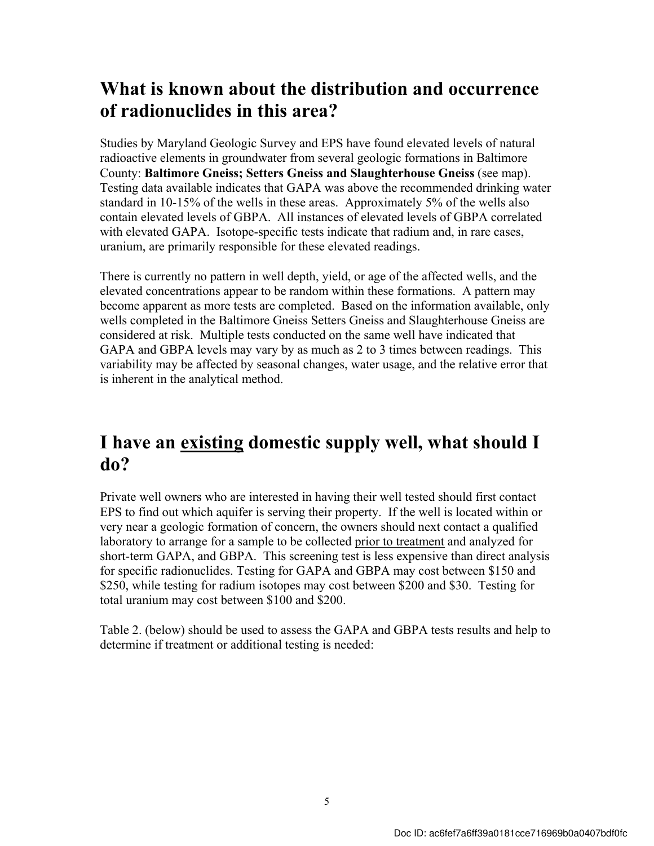### **What is known about the distribution and occurrence of radionuclides in this area?**

Studies by Maryland Geologic Survey and EPS have found elevated levels of natural radioactive elements in groundwater from several geologic formations in Baltimore County: **Baltimore Gneiss; Setters Gneiss and Slaughterhouse Gneiss** (see map). Testing data available indicates that GAPA was above the recommended drinking water standard in 10-15% of the wells in these areas. Approximately 5% of the wells also contain elevated levels of GBPA. All instances of elevated levels of GBPA correlated with elevated GAPA. Isotope-specific tests indicate that radium and, in rare cases, uranium, are primarily responsible for these elevated readings.

There is currently no pattern in well depth, yield, or age of the affected wells, and the elevated concentrations appear to be random within these formations. A pattern may become apparent as more tests are completed. Based on the information available, only wells completed in the Baltimore Gneiss Setters Gneiss and Slaughterhouse Gneiss are considered at risk. Multiple tests conducted on the same well have indicated that GAPA and GBPA levels may vary by as much as 2 to 3 times between readings. This variability may be affected by seasonal changes, water usage, and the relative error that is inherent in the analytical method.

### **I have an existing domestic supply well, what should I do?**

Private well owners who are interested in having their well tested should first contact EPS to find out which aquifer is serving their property. If the well is located within or very near a geologic formation of concern, the owners should next contact a qualified laboratory to arrange for a sample to be collected prior to treatment and analyzed for short-term GAPA, and GBPA. This screening test is less expensive than direct analysis for specific radionuclides. Testing for GAPA and GBPA may cost between \$150 and \$250, while testing for radium isotopes may cost between \$200 and \$30. Testing for total uranium may cost between \$100 and \$200.

Table 2. (below) should be used to assess the GAPA and GBPA tests results and help to determine if treatment or additional testing is needed: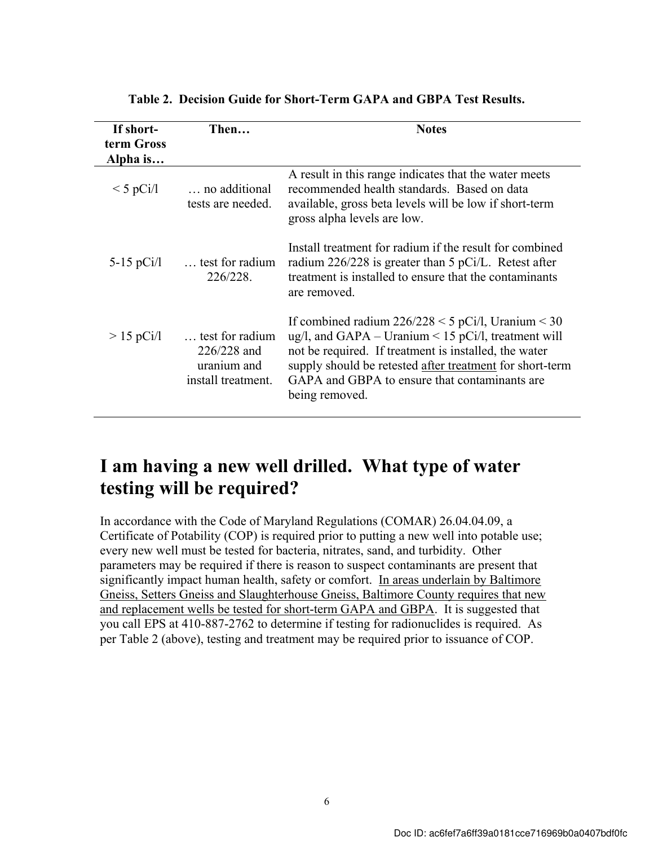| If short-    | Then                                                                | <b>Notes</b>                                                                                                                                                                                                                                                                                              |
|--------------|---------------------------------------------------------------------|-----------------------------------------------------------------------------------------------------------------------------------------------------------------------------------------------------------------------------------------------------------------------------------------------------------|
| term Gross   |                                                                     |                                                                                                                                                                                                                                                                                                           |
| Alpha is     |                                                                     |                                                                                                                                                                                                                                                                                                           |
| $<$ 5 pCi/l  | no additional<br>tests are needed.                                  | A result in this range indicates that the water meets<br>recommended health standards. Based on data<br>available, gross beta levels will be low if short-term<br>gross alpha levels are low.                                                                                                             |
| 5-15 $pCi/l$ | test for radium<br>226/228.                                         | Install treatment for radium if the result for combined<br>radium $226/228$ is greater than 5 pCi/L. Retest after<br>treatment is installed to ensure that the contaminants<br>are removed.                                                                                                               |
| $> 15$ pCi/l | test for radium<br>226/228 and<br>uranium and<br>install treatment. | If combined radium $226/228 \le 5$ pCi/l, Uranium $\le 30$<br>ug/l, and GAPA – Uranium < 15 pCi/l, treatment will<br>not be required. If treatment is installed, the water<br>supply should be retested after treatment for short-term<br>GAPA and GBPA to ensure that contaminants are<br>being removed. |

**Table 2. Decision Guide for Short-Term GAPA and GBPA Test Results.** 

### **I am having a new well drilled. What type of water testing will be required?**

In accordance with the Code of Maryland Regulations (COMAR) 26.04.04.09, a Certificate of Potability (COP) is required prior to putting a new well into potable use; every new well must be tested for bacteria, nitrates, sand, and turbidity. Other parameters may be required if there is reason to suspect contaminants are present that significantly impact human health, safety or comfort. In areas underlain by Baltimore Gneiss, Setters Gneiss and Slaughterhouse Gneiss, Baltimore County requires that new and replacement wells be tested for short-term GAPA and GBPA. It is suggested that you call EPS at 410-887-2762 to determine if testing for radionuclides is required. As per Table 2 (above), testing and treatment may be required prior to issuance of COP.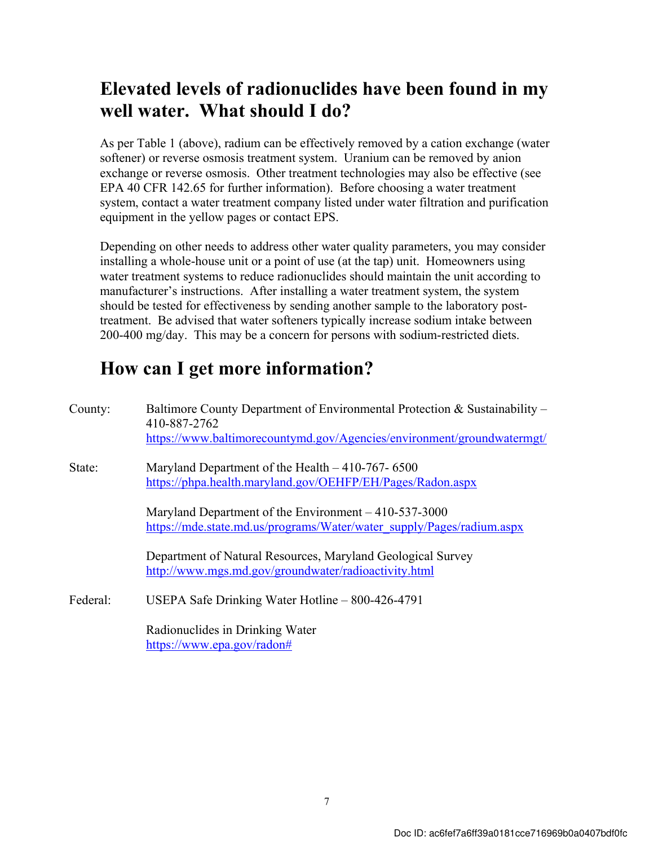### **Elevated levels of radionuclides have been found in my well water. What should I do?**

As per Table 1 (above), radium can be effectively removed by a cation exchange (water softener) or reverse osmosis treatment system. Uranium can be removed by anion exchange or reverse osmosis. Other treatment technologies may also be effective (see EPA 40 CFR 142.65 for further information). Before choosing a water treatment system, contact a water treatment company listed under water filtration and purification equipment in the yellow pages or contact EPS.

Depending on other needs to address other water quality parameters, you may consider installing a whole-house unit or a point of use (at the tap) unit. Homeowners using water treatment systems to reduce radionuclides should maintain the unit according to manufacturer's instructions. After installing a water treatment system, the system should be tested for effectiveness by sending another sample to the laboratory posttreatment. Be advised that water softeners typically increase sodium intake between 200-400 mg/day. This may be a concern for persons with sodium-restricted diets.

## **How can I get more information?**

| County:  | Baltimore County Department of Environmental Protection & Sustainability –<br>410-887-2762<br>https://www.baltimorecountymd.gov/Agencies/environment/groundwatermgt/ |
|----------|----------------------------------------------------------------------------------------------------------------------------------------------------------------------|
| State:   | Maryland Department of the Health – 410-767-6500<br>https://phpa.health.maryland.gov/OEHFP/EH/Pages/Radon.aspx                                                       |
|          | Maryland Department of the Environment $-410-537-3000$<br>https://mde.state.md.us/programs/Water/water_supply/Pages/radium.aspx                                      |
|          | Department of Natural Resources, Maryland Geological Survey<br>http://www.mgs.md.gov/groundwater/radioactivity.html                                                  |
| Federal: | USEPA Safe Drinking Water Hotline $-800-426-4791$                                                                                                                    |
|          | Radionuclides in Drinking Water<br>https://www.epa.gov/radon#                                                                                                        |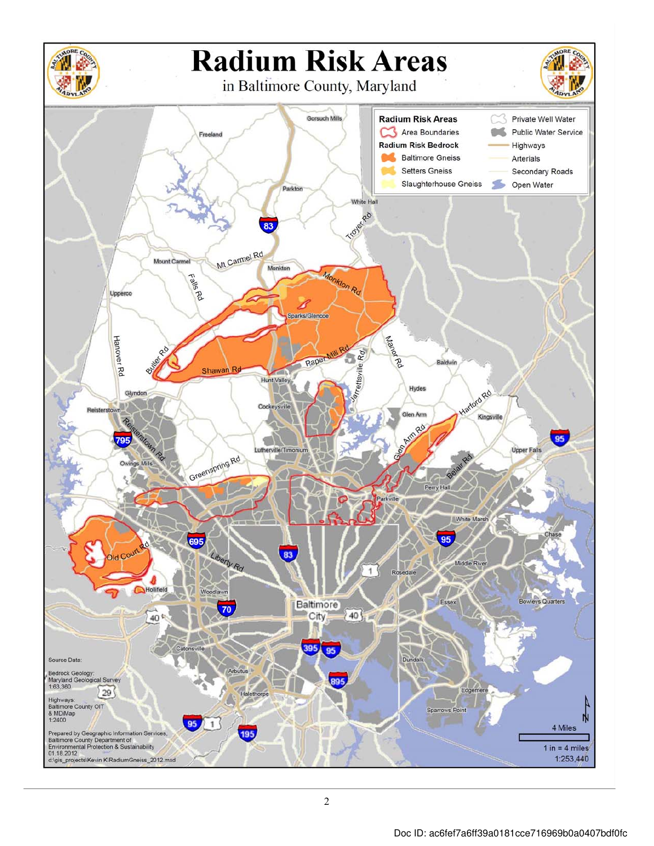